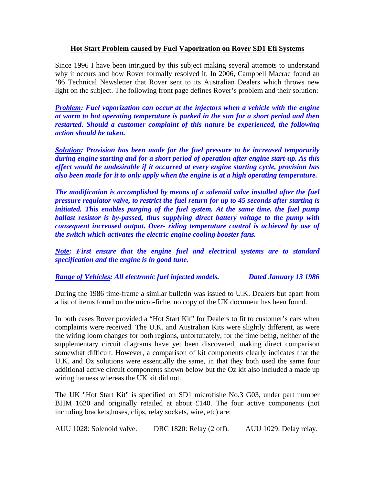### **Hot Start Problem caused by Fuel Vaporization on Rover SD1 Efi Systems**

Since 1996 I have been intrigued by this subject making several attempts to understand why it occurs and how Rover formally resolved it. In 2006, Campbell Macrae found an '86 Technical Newsletter that Rover sent to its Australian Dealers which throws new light on the subject. The following front page defines Rover's problem and their solution:

*Problem: Fuel vaporization can occur at the injectors when a vehicle with the engine at warm to hot operating temperature is parked in the sun for a short period and then restarted. Should a customer complaint of this nature be experienced, the following action should be taken.* 

*Solution: Provision has been made for the fuel pressure to be increased temporarily during engine starting and for a short period of operation after engine start-up. As this effect would be undesirable if it occurred at every engine starting cycle, provision has also been made for it to only apply when the engine is at a high operating temperature.* 

*The modification is accomplished by means of a solenoid valve installed after the fuel pressure regulator valve, to restrict the fuel return for up to 45 seconds after starting is initiated. This enables purging of the fuel system. At the same time, the fuel pump ballast resistor is by-passed, thus supplying direct battery voltage to the pump with consequent increased output. Over- riding temperature control is achieved by use of the switch which activates the electric engine cooling booster fans.* 

*Note: First ensure that the engine fuel and electrical systems are to standard specification and the engine is in good tune.* 

# *Range of Vehicles: All electronic fuel injected models. Dated January 13 1986*

During the 1986 time-frame a similar bulletin was issued to U.K. Dealers but apart from a list of items found on the micro-fiche, no copy of the UK document has been found.

In both cases Rover provided a "Hot Start Kit" for Dealers to fit to customer's cars when complaints were received. The U.K. and Australian Kits were slightly different, as were the wiring loom changes for both regions, unfortunately, for the time being, neither of the supplementary circuit diagrams have yet been discovered, making direct comparison somewhat difficult. However, a comparison of kit components clearly indicates that the U.K. and Oz solutions were essentially the same, in that they both used the same four additional active circuit components shown below but the Oz kit also included a made up wiring harness whereas the UK kit did not.

The UK "Hot Start Kit" is specified on SD1 microfishe No.3 G03, under part number BHM 1620 and originally retailed at about £140. The four active components (not including brackets,hoses, clips, relay sockets, wire, etc) are:

AUU 1028: Solenoid valve. DRC 1820: Relay (2 off). AUU 1029: Delay relay.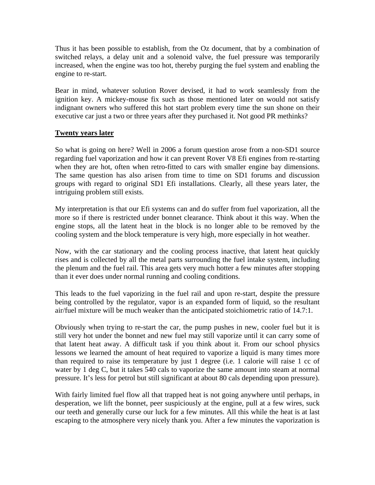Thus it has been possible to establish, from the Oz document, that by a combination of switched relays, a delay unit and a solenoid valve, the fuel pressure was temporarily increased, when the engine was too hot, thereby purging the fuel system and enabling the engine to re-start.

Bear in mind, whatever solution Rover devised, it had to work seamlessly from the ignition key. A mickey-mouse fix such as those mentioned later on would not satisfy indignant owners who suffered this hot start problem every time the sun shone on their executive car just a two or three years after they purchased it. Not good PR methinks?

### **Twenty years later**

So what is going on here? Well in 2006 a forum question arose from a non-SD1 source regarding fuel vaporization and how it can prevent Rover V8 Efi engines from re-starting when they are hot, often when retro-fitted to cars with smaller engine bay dimensions. The same question has also arisen from time to time on SD1 forums and discussion groups with regard to original SD1 Efi installations. Clearly, all these years later, the intriguing problem still exists.

My interpretation is that our Efi systems can and do suffer from fuel vaporization, all the more so if there is restricted under bonnet clearance. Think about it this way. When the engine stops, all the latent heat in the block is no longer able to be removed by the cooling system and the block temperature is very high, more especially in hot weather.

Now, with the car stationary and the cooling process inactive, that latent heat quickly rises and is collected by all the metal parts surrounding the fuel intake system, including the plenum and the fuel rail. This area gets very much hotter a few minutes after stopping than it ever does under normal running and cooling conditions.

This leads to the fuel vaporizing in the fuel rail and upon re-start, despite the pressure being controlled by the regulator, vapor is an expanded form of liquid, so the resultant air/fuel mixture will be much weaker than the anticipated stoichiometric ratio of 14.7:1.

Obviously when trying to re-start the car, the pump pushes in new, cooler fuel but it is still very hot under the bonnet and new fuel may still vaporize until it can carry some of that latent heat away. A difficult task if you think about it. From our school physics lessons we learned the amount of heat required to vaporize a liquid is many times more than required to raise its temperature by just 1 degree (i.e. 1 calorie will raise 1 cc of water by 1 deg C, but it takes 540 cals to vaporize the same amount into steam at normal pressure. It's less for petrol but still significant at about 80 cals depending upon pressure).

With fairly limited fuel flow all that trapped heat is not going anywhere until perhaps, in desperation, we lift the bonnet, peer suspiciously at the engine, pull at a few wires, suck our teeth and generally curse our luck for a few minutes. All this while the heat is at last escaping to the atmosphere very nicely thank you. After a few minutes the vaporization is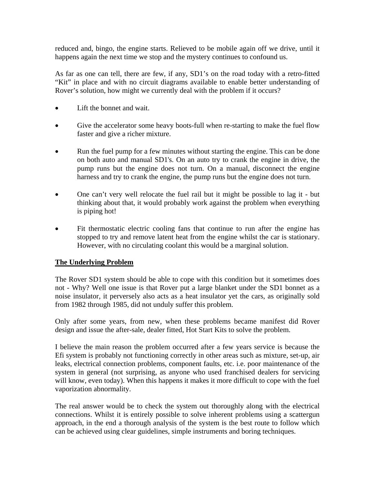reduced and, bingo, the engine starts. Relieved to be mobile again off we drive, until it happens again the next time we stop and the mystery continues to confound us.

As far as one can tell, there are few, if any, SD1's on the road today with a retro-fitted "Kit" in place and with no circuit diagrams available to enable better understanding of Rover's solution, how might we currently deal with the problem if it occurs?

- Lift the bonnet and wait.
- Give the accelerator some heavy boots-full when re-starting to make the fuel flow faster and give a richer mixture.
- Run the fuel pump for a few minutes without starting the engine. This can be done on both auto and manual SD1's. On an auto try to crank the engine in drive, the pump runs but the engine does not turn. On a manual, disconnect the engine harness and try to crank the engine, the pump runs but the engine does not turn.
- One can't very well relocate the fuel rail but it might be possible to lag it but thinking about that, it would probably work against the problem when everything is piping hot!
- Fit thermostatic electric cooling fans that continue to run after the engine has stopped to try and remove latent heat from the engine whilst the car is stationary. However, with no circulating coolant this would be a marginal solution.

#### **The Underlying Problem**

The Rover SD1 system should be able to cope with this condition but it sometimes does not - Why? Well one issue is that Rover put a large blanket under the SD1 bonnet as a noise insulator, it perversely also acts as a heat insulator yet the cars, as originally sold from 1982 through 1985, did not unduly suffer this problem.

Only after some years, from new, when these problems became manifest did Rover design and issue the after-sale, dealer fitted, Hot Start Kits to solve the problem.

I believe the main reason the problem occurred after a few years service is because the Efi system is probably not functioning correctly in other areas such as mixture, set-up, air leaks, electrical connection problems, component faults, etc. i.e. poor maintenance of the system in general (not surprising, as anyone who used franchised dealers for servicing will know, even today). When this happens it makes it more difficult to cope with the fuel vaporization abnormality.

The real answer would be to check the system out thoroughly along with the electrical connections. Whilst it is entirely possible to solve inherent problems using a scattergun approach, in the end a thorough analysis of the system is the best route to follow which can be achieved using clear guidelines, simple instruments and boring techniques.